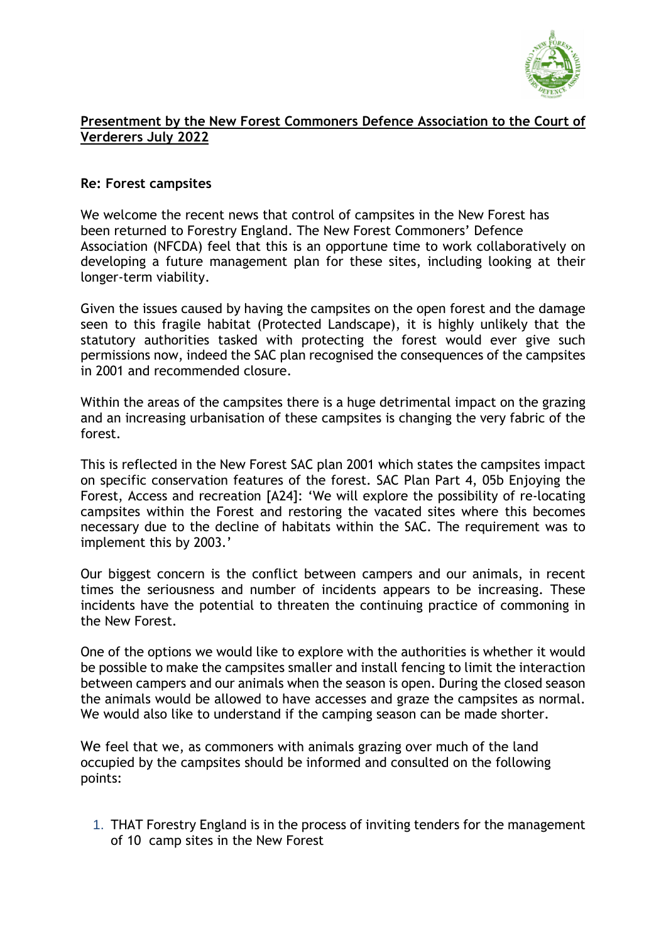

## **Presentment by the New Forest Commoners Defence Association to the Court of Verderers July 2022**

## **Re: Forest campsites**

We welcome the recent news that control of campsites in the New Forest has been returned to Forestry England. The New Forest Commoners' Defence Association (NFCDA) feel that this is an opportune time to work collaboratively on developing a future management plan for these sites, including looking at their longer-term viability.

Given the issues caused by having the campsites on the open forest and the damage seen to this fragile habitat (Protected Landscape), it is highly unlikely that the statutory authorities tasked with protecting the forest would ever give such permissions now, indeed the SAC plan recognised the consequences of the campsites in 2001 and recommended closure.

Within the areas of the campsites there is a huge detrimental impact on the grazing and an increasing urbanisation of these campsites is changing the very fabric of the forest.

This is reflected in the New Forest SAC plan 2001 which states the campsites impact on specific conservation features of the forest. SAC Plan Part 4, 05b Enjoying the Forest, Access and recreation [A24]: 'We will explore the possibility of re-locating campsites within the Forest and restoring the vacated sites where this becomes necessary due to the decline of habitats within the SAC. The requirement was to implement this by 2003.'

Our biggest concern is the conflict between campers and our animals, in recent times the seriousness and number of incidents appears to be increasing. These incidents have the potential to threaten the continuing practice of commoning in the New Forest.

One of the options we would like to explore with the authorities is whether it would be possible to make the campsites smaller and install fencing to limit the interaction between campers and our animals when the season is open. During the closed season the animals would be allowed to have accesses and graze the campsites as normal. We would also like to understand if the camping season can be made shorter.

We feel that we, as commoners with animals grazing over much of the land occupied by the campsites should be informed and consulted on the following points:

1. THAT Forestry England is in the process of inviting tenders for the management of 10 camp sites in the New Forest